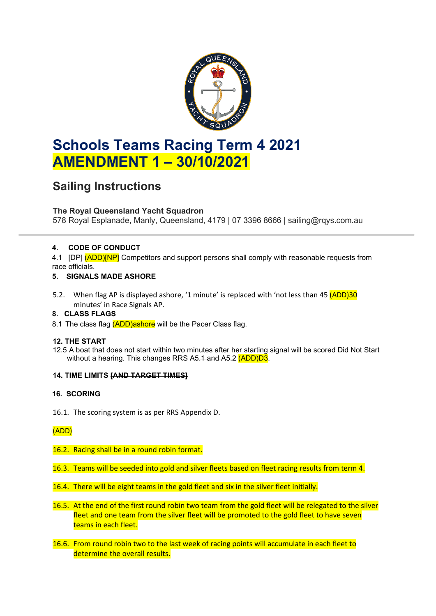

# **Schools Teams Racing Term 4 2021 AMENDMENT 1 – 30/10/2021**

## **Sailing Instructions**

## **The Royal Queensland Yacht Squadron**

578 Royal Esplanade, Manly, Queensland, 4179 | 07 3396 8666 | sailing@rqys.com.au

## **4. CODE OF CONDUCT**

4.1 [DP] (ADD)[NP] Competitors and support persons shall comply with reasonable requests from race officials.

## **5. SIGNALS MADE ASHORE**

5.2. When flag AP is displayed ashore, '1 minute' is replaced with 'not less than 45 (ADD)30 minutes' in Race Signals AP.

## **8. CLASS FLAGS**

8.1 The class flag (ADD)ashore will be the Pacer Class flag.

## **12. THE START**

12.5 A boat that does not start within two minutes after her starting signal will be scored Did Not Start without a hearing. This changes RRS A5.1 and A5.2 (ADD)D3.

#### **14. TIME LIMITS [AND TARGET TIMES]**

## **16. SCORING**

16.1. The scoring system is as per RRS Appendix D.

## (ADD)

## 16.2. Racing shall be in a round robin format.

- 16.3. Teams will be seeded into gold and silver fleets based on fleet racing results from term 4.
- 16.4. There will be eight teams in the gold fleet and six in the silver fleet initially.
- 16.5. At the end of the first round robin two team from the gold fleet will be relegated to the silver fleet and one team from the silver fleet will be promoted to the gold fleet to have seven teams in each fleet.
- 16.6. From round robin two to the last week of racing points will accumulate in each fleet to determine the overall results.